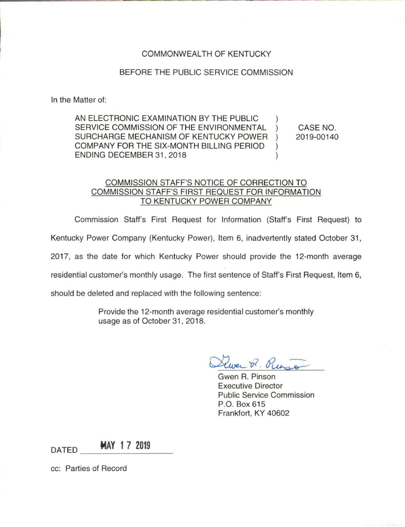## COMMONWEAL TH OF KENTUCKY

## BEFORE THE PUBLIC SERVICE COMMISSION

In the Matter of:

AN ELECTRONIC EXAMINATION BY THE PUBLIC ) SERVICE COMMISSION OF THE ENVIRONMENTAL SURCHARGE MECHANISM OF KENTUCKY POWER ) COMPANY FOR THE SIX-MONTH BILLING PERIOD ) ENDING DECEMBER 31, 2018

CASE NO. 2019-00140

## COMMISSION STAFF'S NOTICE OF CORRECTION TO COMMISSION STAFF'S FIRST REQUEST FOR INFORMATION TO KENTUCKY POWER COMPANY

Commission Staff's First Request for Information (Staff's First Request) to

Kentucky Power Company (Kentucky Power), Item 6, inadvertently stated October 31,

2017, as the date for which Kentucky Power should provide the 12-month average

residential customer's monthly usage. The first sentence of Staff's First Request, Item 6,

should be deleted and replaced with the following sentence:

Provide the 12-month average residential customer's monthly usage as of October 31 , 2018.

wer P. Rung

Gwen R. Pinson Executive Director Public Service Commission P.O. Box 615 Frankfort, KY 40602

DATED **MAY 17 2019** 

cc: Parties of Record